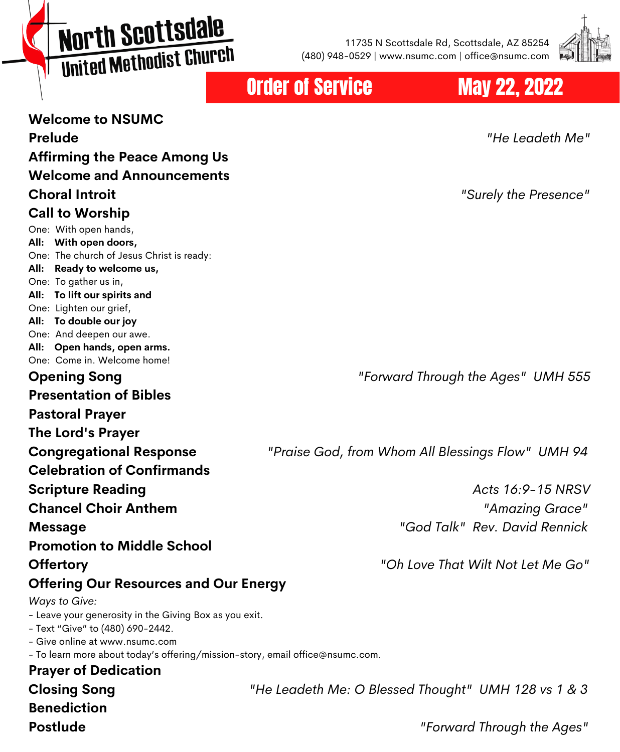# North Scottsdale United Methodist Church

11735 N Scottsdale Rd, Scottsdale, AZ 85254 (480) 948-0529 | www.nsumc.com | office@nsumc.com



#### Order of Service May 22, 2022

**Welcome to NSUMC Prelude** *"He Leadeth Me"* **Affirming the Peace Among Us Welcome and Announcements Choral Introit** *"Surely the Presence"* **Call to Worship** One: With open hands, **All: With open doors,** One: The church of Jesus Christ is ready: **All: Ready to welcome us,** One: To gather us in, **All: To lift our spirits and** One: Lighten our grief, **All: To double our joy** One: And deepen our awe. **All: Open hands, open arms.** One: Come in. Welcome home! **Opening Song** *"Forward Through the Ages" UMH 555* **Presentation of Bibles Pastoral Prayer The Lord's Prayer Congregational Response** *"Praise God, from Whom All Blessings Flow" UMH 94* **Celebration of Confirmands Scripture Reading** *Acts 16:9-15 NRSV* **Chancel Choir Anthem** *"Amazing Grace"* **Message** *"God Talk" Rev. David Rennick* **Promotion to Middle School Offertory** *"Oh Love That Wilt Not Let Me Go"* **Offering Our Resources and Our Energy** *Ways to Give:* - Leave your generosity in the Giving Box as you exit. - Text "Give" to (480) 690-2442. - Give online at www.nsumc.com - To learn more about today's offering/mission-story, email office@nsumc.com. **Prayer of Dedication Closing Song** *"He Leadeth Me: O Blessed Thought" UMH 128 vs 1 & 3* **Benediction**

**Postlude** *"Forward Through the Ages"*